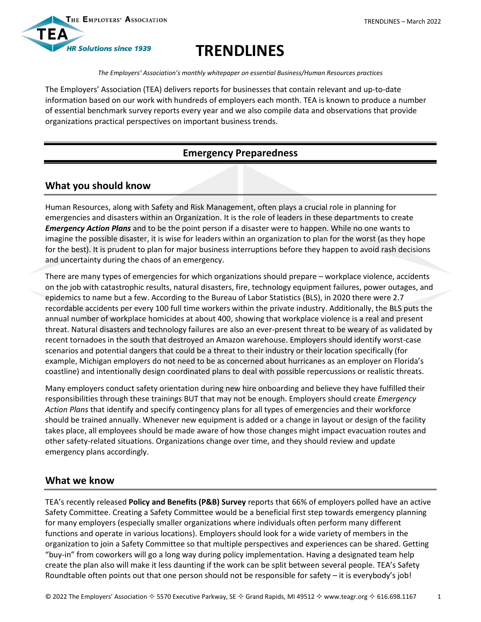

# **TRENDLINES**

*The Employers' Association's monthly whitepaper on essential Business/Human Resources practices*

The Employers' Association (TEA) delivers reports for businesses that contain relevant and up-to-date information based on our work with hundreds of employers each month. TEA is known to produce a number of essential benchmark survey reports every year and we also compile data and observations that provide organizations practical perspectives on important business trends.

## **Emergency Preparedness**

### **What you should know**

Human Resources, along with Safety and Risk Management, often plays a crucial role in planning for emergencies and disasters within an Organization. It is the role of leaders in these departments to create *Emergency Action Plans* and to be the point person if a disaster were to happen. While no one wants to imagine the possible disaster, it is wise for leaders within an organization to plan for the worst (as they hope for the best). It is prudent to plan for major business interruptions before they happen to avoid rash decisions and uncertainty during the chaos of an emergency.

There are many types of emergencies for which organizations should prepare – workplace violence, accidents on the job with catastrophic results, natural disasters, fire, technology equipment failures, power outages, and epidemics to name but a few. According to the Bureau of Labor Statistics (BLS), in 2020 there were 2.7 recordable accidents per every 100 full time workers within the private industry. Additionally, the BLS puts the annual number of workplace homicides at about 400, showing that workplace violence is a real and present threat. Natural disasters and technology failures are also an ever-present threat to be weary of as validated by recent tornadoes in the south that destroyed an Amazon warehouse. Employers should identify worst-case scenarios and potential dangers that could be a threat to their industry or their location specifically (for example, Michigan employers do not need to be as concerned about hurricanes as an employer on Florida's coastline) and intentionally design coordinated plans to deal with possible repercussions or realistic threats.

Many employers conduct safety orientation during new hire onboarding and believe they have fulfilled their responsibilities through these trainings BUT that may not be enough. Employers should create *Emergency Action Plans* that identify and specify contingency plans for all types of emergencies and their workforce should be trained annually. Whenever new equipment is added or a change in layout or design of the facility takes place, all employees should be made aware of how those changes might impact evacuation routes and other safety-related situations. Organizations change over time, and they should review and update emergency plans accordingly.

### **What we know**

TEA's recently released **Policy and Benefits (P&B) Survey** reports that 66% of employers polled have an active Safety Committee. Creating a Safety Committee would be a beneficial first step towards emergency planning for many employers (especially smaller organizations where individuals often perform many different functions and operate in various locations). Employers should look for a wide variety of members in the organization to join a Safety Committee so that multiple perspectives and experiences can be shared. Getting "buy-in" from coworkers will go a long way during policy implementation. Having a designated team help create the plan also will make it less daunting if the work can be split between several people. TEA's Safety Roundtable often points out that one person should not be responsible for safety – it is everybody's job!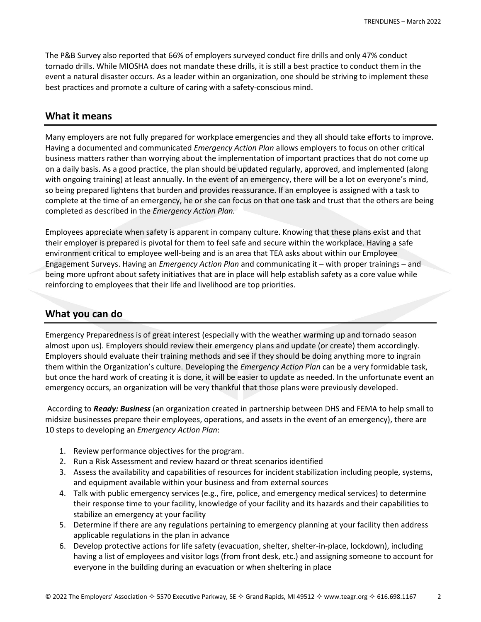The P&B Survey also reported that 66% of employers surveyed conduct fire drills and only 47% conduct tornado drills. While MIOSHA does not mandate these drills, it is still a best practice to conduct them in the event a natural disaster occurs. As a leader within an organization, one should be striving to implement these best practices and promote a culture of caring with a safety-conscious mind.

#### **What it means**

Many employers are not fully prepared for workplace emergencies and they all should take efforts to improve. Having a documented and communicated *Emergency Action Plan* allows employers to focus on other critical business matters rather than worrying about the implementation of important practices that do not come up on a daily basis. As a good practice, the plan should be updated regularly, approved, and implemented (along with ongoing training) at least annually. In the event of an emergency, there will be a lot on everyone's mind, so being prepared lightens that burden and provides reassurance. If an employee is assigned with a task to complete at the time of an emergency, he or she can focus on that one task and trust that the others are being completed as described in the *Emergency Action Plan.* 

Employees appreciate when safety is apparent in company culture. Knowing that these plans exist and that their employer is prepared is pivotal for them to feel safe and secure within the workplace. Having a safe environment critical to employee well-being and is an area that TEA asks about within our Employee Engagement Surveys. Having an *Emergency Action Plan* and communicating it – with proper trainings – and being more upfront about safety initiatives that are in place will help establish safety as a core value while reinforcing to employees that their life and livelihood are top priorities.

#### **What you can do**

Emergency Preparedness is of great interest (especially with the weather warming up and tornado season almost upon us). Employers should review their emergency plans and update (or create) them accordingly. Employers should evaluate their training methods and see if they should be doing anything more to ingrain them within the Organization's culture. Developing the *Emergency Action Plan* can be a very formidable task, but once the hard work of creating it is done, it will be easier to update as needed. In the unfortunate event an emergency occurs, an organization will be very thankful that those plans were previously developed.

According to *[Ready: Business](https://www.ready.gov/business)* (an organization created in partnership between DHS and FEMA to help small to midsize businesses prepare their employees, operations, and assets in the event of an emergency), there are 10 steps to developing an *Emergency Action Plan*:

- 1. Review [performance objectives](https://www.ready.gov/performance-objectives) for the program.
- 2. Run a Risk Assessment and review hazard or threat scenarios identified
- 3. Assess the availability and capabilities of [resources](https://www.ready.gov/business/implementation/resource) for incident stabilization including people, systems, and equipment available within your business and from external sources
- 4. Talk with public emergency services (e.g., fire, police, and emergency medical services) to determine their response time to your facility, knowledge of your facility and its hazards and their capabilities to stabilize an emergency at your facility
- 5. Determine if there are any [regulations](https://www.ready.gov/laws-authorities) pertaining to emergency planning at your facility then address applicable regulations in the plan in advance
- 6. Develop protective actions for life safety (evacuation, shelter, shelter-in-place, lockdown), including having a list of employees and visitor logs (from front desk, etc.) and assigning someone to account for everyone in the building during an evacuation or when sheltering in place